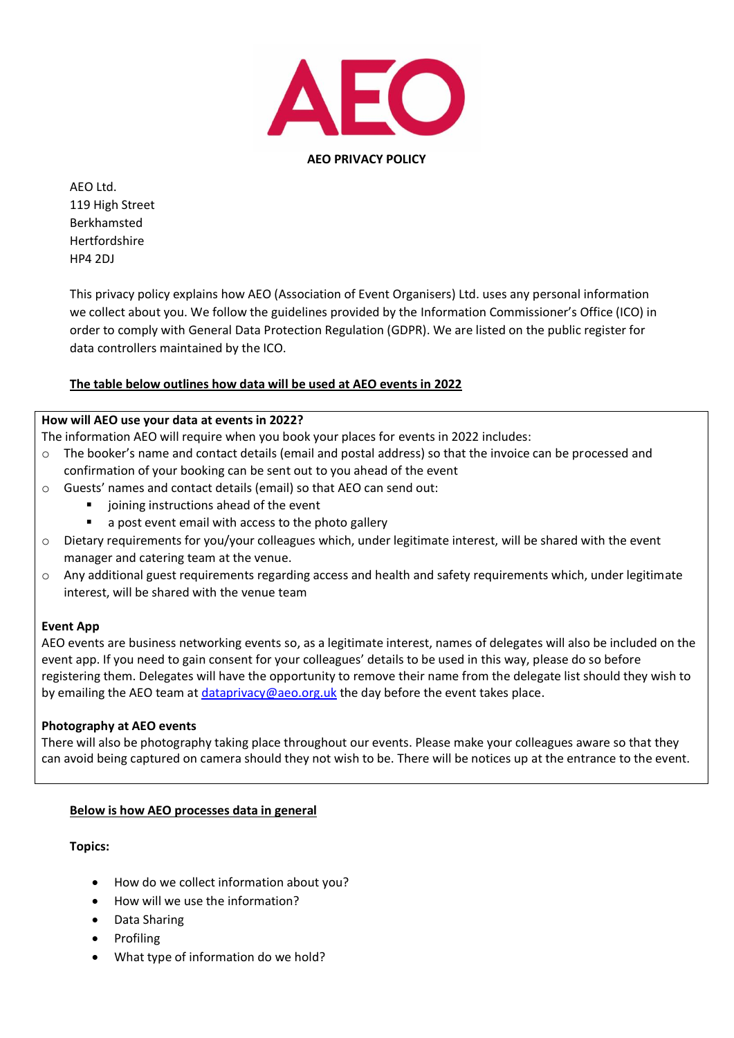

**AEO PRIVACY POLICY**

AEO Ltd. 119 High Street Berkhamsted Hertfordshire HP4 2DJ

This privacy policy explains how AEO (Association of Event Organisers) Ltd. uses any personal information we collect about you. We follow the guidelines provided by the Information Commissioner's Office (ICO) in order to comply with General Data Protection Regulation (GDPR). We are listed on the public register for data controllers maintained by the ICO.

# **The table below outlines how data will be used at AEO events in 2022**

## **How will AEO use your data at events in 2022?**

The information AEO will require when you book your places for events in 2022 includes:

- o The booker's name and contact details (email and postal address) so that the invoice can be processed and confirmation of your booking can be sent out to you ahead of the event
- o Guests' names and contact details (email) so that AEO can send out:
	- joining instructions ahead of the event
	- a post event email with access to the photo gallery
- o Dietary requirements for you/your colleagues which, under legitimate interest, will be shared with the event manager and catering team at the venue.
- $\circ$  Any additional guest requirements regarding access and health and safety requirements which, under legitimate interest, will be shared with the venue team

## **Event App**

AEO events are business networking events so, as a legitimate interest, names of delegates will also be included on the event app. If you need to gain consent for your colleagues' details to be used in this way, please do so before registering them. Delegates will have the opportunity to remove their name from the delegate list should they wish to by emailing the AEO team at *dataprivacy@aeo.org.uk* the day before the event takes place.

#### **Photography at AEO events**

There will also be photography taking place throughout our events. Please make your colleagues aware so that they can avoid being captured on camera should they not wish to be. There will be notices up at the entrance to the event.

## **Below is how AEO processes data in general**

**Topics:**

- How do we collect information about you?
- How will we use the information?
- Data Sharing
- Profiling
- What type of information do we hold?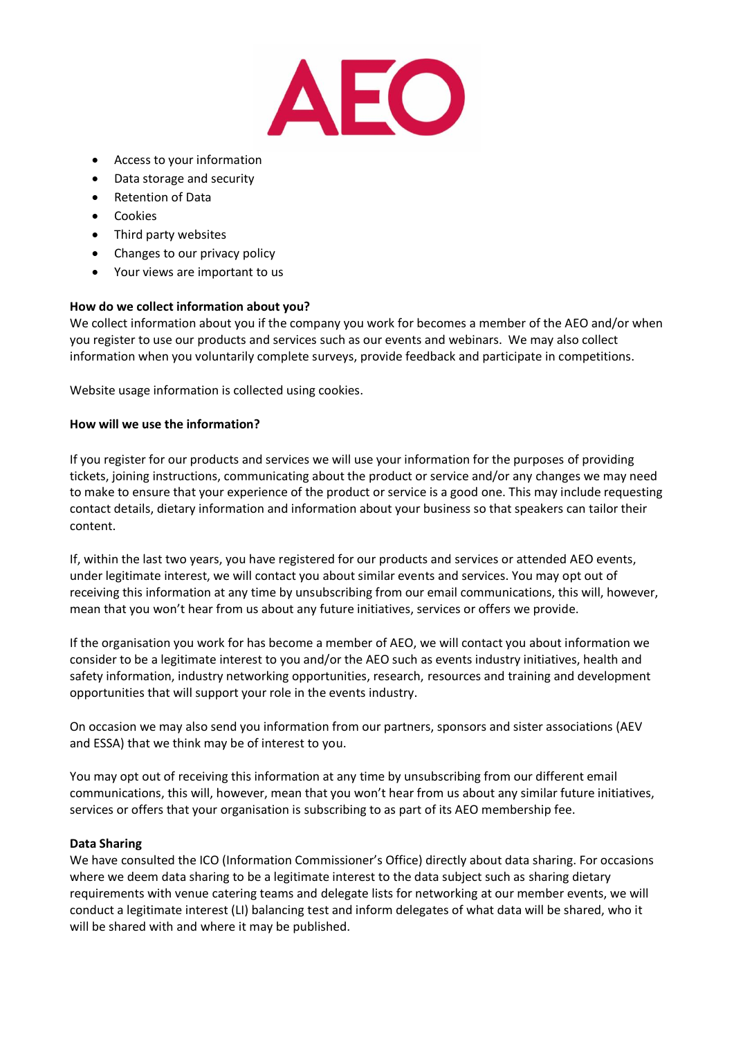

- Access to your information
- Data storage and security
- Retention of Data
- Cookies
- Third party websites
- Changes to our privacy policy
- Your views are important to us

#### **How do we collect information about you?**

We collect information about you if the company you work for becomes a member of the AEO and/or when you register to use our products and services such as our events and webinars. We may also collect information when you voluntarily complete surveys, provide feedback and participate in competitions.

Website usage information is collected using cookies.

#### **How will we use the information?**

If you register for our products and services we will use your information for the purposes of providing tickets, joining instructions, communicating about the product or service and/or any changes we may need to make to ensure that your experience of the product or service is a good one. This may include requesting contact details, dietary information and information about your business so that speakers can tailor their content.

If, within the last two years, you have registered for our products and services or attended AEO events, under legitimate interest, we will contact you about similar events and services. You may opt out of receiving this information at any time by unsubscribing from our email communications, this will, however, mean that you won't hear from us about any future initiatives, services or offers we provide.

If the organisation you work for has become a member of AEO, we will contact you about information we consider to be a legitimate interest to you and/or the AEO such as events industry initiatives, health and safety information, industry networking opportunities, research, resources and training and development opportunities that will support your role in the events industry.

On occasion we may also send you information from our partners, sponsors and sister associations (AEV and ESSA) that we think may be of interest to you.

You may opt out of receiving this information at any time by unsubscribing from our different email communications, this will, however, mean that you won't hear from us about any similar future initiatives, services or offers that your organisation is subscribing to as part of its AEO membership fee.

#### **Data Sharing**

We have consulted the ICO (Information Commissioner's Office) directly about data sharing. For occasions where we deem data sharing to be a legitimate interest to the data subject such as sharing dietary requirements with venue catering teams and delegate lists for networking at our member events, we will conduct a legitimate interest (LI) balancing test and inform delegates of what data will be shared, who it will be shared with and where it may be published.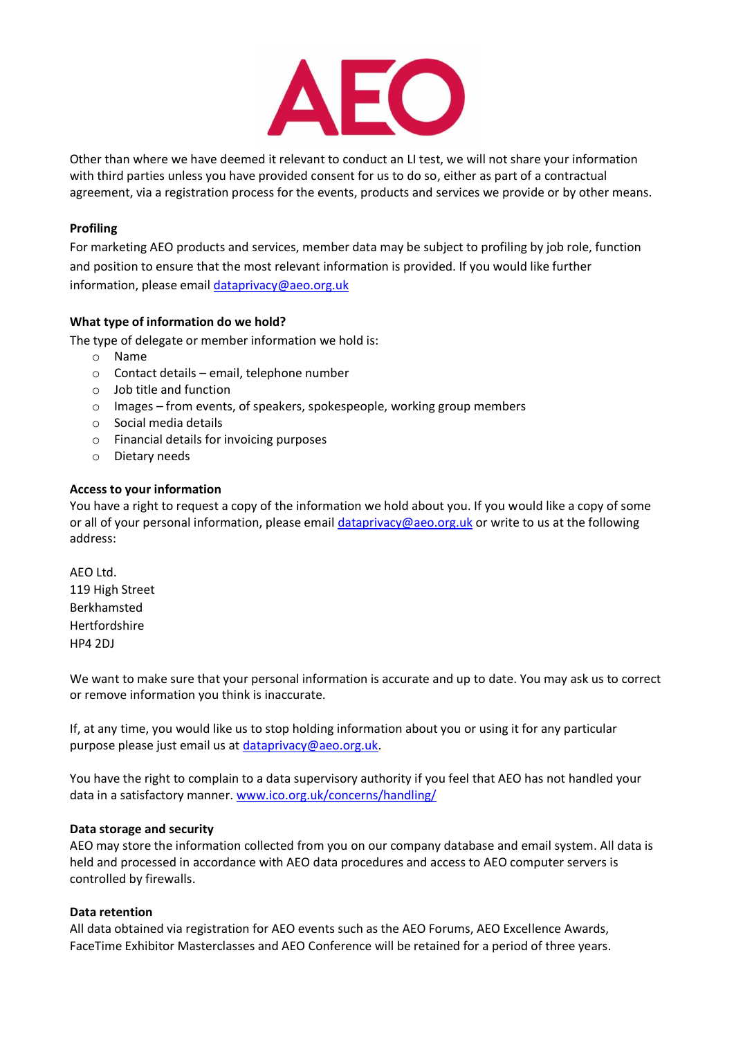

Other than where we have deemed it relevant to conduct an LI test, we will not share your information with third parties unless you have provided consent for us to do so, either as part of a contractual agreement, via a registration process for the events, products and services we provide or by other means.

## **Profiling**

For marketing AEO products and services, member data may be subject to profiling by job role, function and position to ensure that the most relevant information is provided. If you would like further information, please email [dataprivacy@aeo.org.uk](mailto:dataprivacy@aeo.org.uk)

## **What type of information do we hold?**

The type of delegate or member information we hold is:

- o Name
- o Contact details email, telephone number
- o Job title and function
- o Images from events, of speakers, spokespeople, working group members
- o Social media details
- o Financial details for invoicing purposes
- o Dietary needs

#### **Access to your information**

You have a right to request a copy of the information we hold about you. If you would like a copy of some or all of your personal information, please email [dataprivacy@aeo.org.uk](mailto:dataprivacy@aeo.org.uk) or write to us at the following address:

AEO Ltd. 119 High Street Berkhamsted Hertfordshire HP4 2DJ

We want to make sure that your personal information is accurate and up to date. You may ask us to correct or remove information you think is inaccurate.

If, at any time, you would like us to stop holding information about you or using it for any particular purpose please just email us at [dataprivacy@aeo.org.uk.](mailto:dataprivacy@aeo.org.uk)

You have the right to complain to a data supervisory authority if you feel that AEO has not handled your data in a satisfactory manner. [www.ico.org.uk/concerns/handling/](http://www.ico.org.uk/concerns/handling/)

#### **Data storage and security**

AEO may store the information collected from you on our company database and email system. All data is held and processed in accordance with AEO data procedures and access to AEO computer servers is controlled by firewalls.

#### **Data retention**

All data obtained via registration for AEO events such as the AEO Forums, AEO Excellence Awards, FaceTime Exhibitor Masterclasses and AEO Conference will be retained for a period of three years.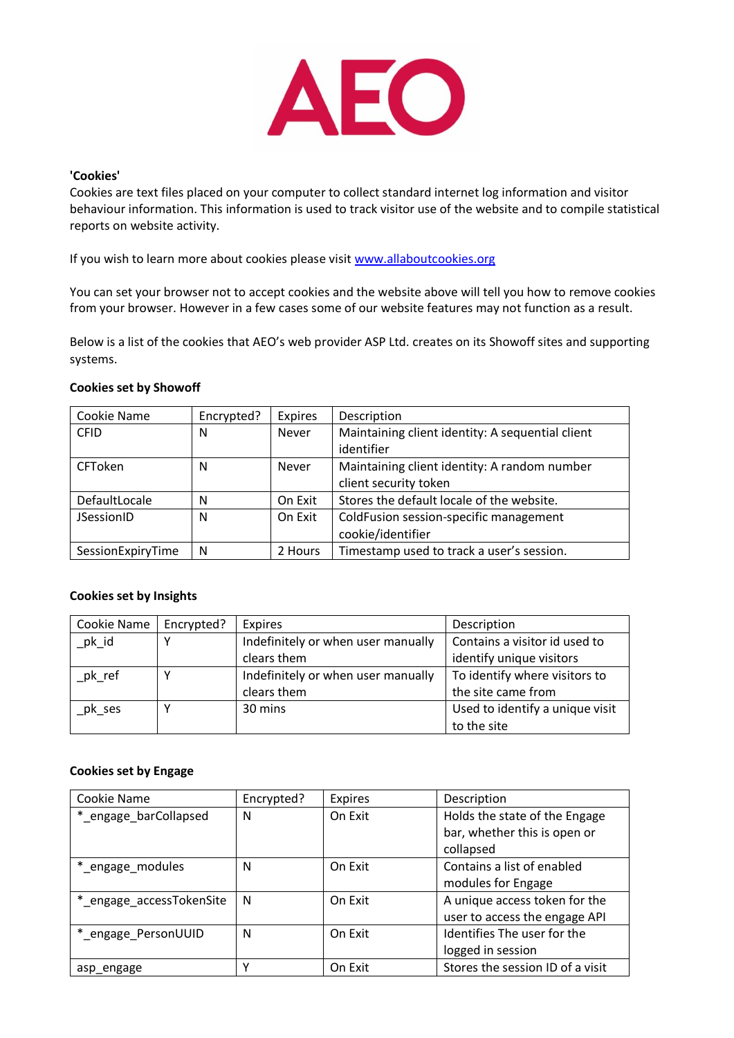

#### **'Cookies'**

Cookies are text files placed on your computer to collect standard internet log information and visitor behaviour information. This information is used to track visitor use of the website and to compile statistical reports on website activity.

If you wish to learn more about cookies please visit [www.allaboutcookies.org](http://www.allaboutcookies.org/)

You can set your browser not to accept cookies and the website above will tell you how to remove cookies from your browser. However in a few cases some of our website features may not function as a result.

Below is a list of the cookies that AEO's web provider ASP Ltd. creates on its Showoff sites and supporting systems.

## **Cookies set by Showoff**

| Cookie Name       | Encrypted? | <b>Expires</b> | Description                                      |
|-------------------|------------|----------------|--------------------------------------------------|
| <b>CFID</b>       | N          | Never          | Maintaining client identity: A sequential client |
|                   |            |                | identifier                                       |
| CFToken           | N          | <b>Never</b>   | Maintaining client identity: A random number     |
|                   |            |                | client security token                            |
| DefaultLocale     | N          | On Exit        | Stores the default locale of the website.        |
| JSessionID        | N          | On Exit        | ColdFusion session-specific management           |
|                   |            |                | cookie/identifier                                |
| SessionExpiryTime | N          | 2 Hours        | Timestamp used to track a user's session.        |

#### **Cookies set by Insights**

| Cookie Name | Encrypted? | Expires                            | Description                     |
|-------------|------------|------------------------------------|---------------------------------|
| pk id       |            | Indefinitely or when user manually | Contains a visitor id used to   |
|             |            | clears them                        | identify unique visitors        |
| pk ref      |            | Indefinitely or when user manually | To identify where visitors to   |
|             |            | clears them                        | the site came from              |
| pk ses      |            | 30 mins                            | Used to identify a unique visit |
|             |            |                                    | to the site                     |

#### **Cookies set by Engage**

| Cookie Name              | Encrypted? | <b>Expires</b> | Description                      |
|--------------------------|------------|----------------|----------------------------------|
| *_engage_barCollapsed    | N          | On Exit        | Holds the state of the Engage    |
|                          |            |                | bar, whether this is open or     |
|                          |            |                | collapsed                        |
| *_engage_modules         | N          | On Exit        | Contains a list of enabled       |
|                          |            |                | modules for Engage               |
| *_engage_accessTokenSite | N          | On Exit        | A unique access token for the    |
|                          |            |                | user to access the engage API    |
| *_engage_PersonUUID      | N          | On Exit        | Identifies The user for the      |
|                          |            |                | logged in session                |
| asp engage               | v          | On Exit        | Stores the session ID of a visit |